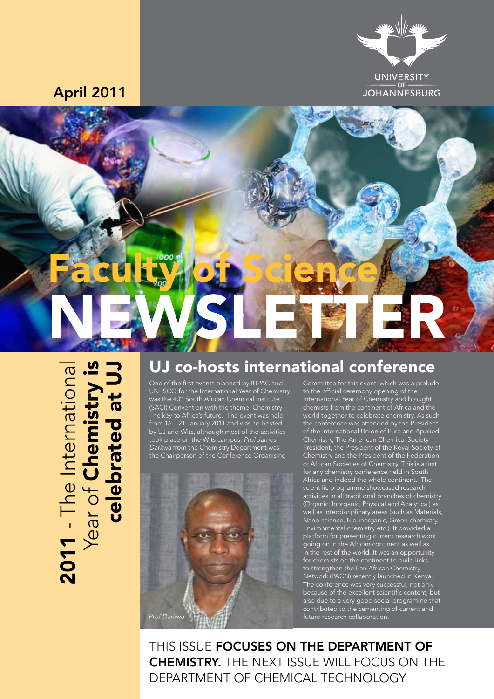

April 2011



# 2011 - The International Year of Chemistry is 2011 - The International<br>Year of Chemistry is<br>celebrated at UJ celebrated at UJ

#### UJ co-hosts international conference

One of the first events planned by IUPAC and UNESCO for the International Year of Chemistry was the 40<sup>th</sup> South African Chemical Institute (SACI) Convention with the theme: Chemistry-The key to Africa's future. The event was held from 16 – 21 January 2011 and was co-hosted by UJ and Wits, although most of the activities took place on the Wits campus. *Prof James Darkwa* from the Chemistry Department was the Chairperson of the Conference Organising



Committee for this event, which was a prelude to the official ceremony opening of the International Year of Chemistry and brought chemists from the continent of Africa and the world together to celebrate chemistry. As such the conference was attended by the President of the International Union of Pure and Applied Chemistry, The American Chemical Society President, the President of the Royal Society of Chemistry and the President of the Federation of African Societies of Chemistry. This is a first for any chemistry conference held in South Africa and indeed the whole continent. The scientific programme showcased research activities in all traditional branches of chemistry (Organic, Inorganic, Physical and Analytical) as well as interdisciplinary areas (such as Materials, Nano-science, Bio-inorganic, Green chemistry, Environmental chemistry etc.). It provided a platform for presenting current research work going on in the African continent as well as in the rest of the world. It was an opportunity for chemists on the continent to build links to strengthen the Pan African Chemistry Network (PACN) recently launched in Kenya. The conference was very successful, not only because of the excellent scientific content, but also due to a very good social programme that contributed to the cementing of current and future research collaboration.

THIS ISSUE **FOCUSES ON THE DEPARTMENT OF** Chemistry. The next issue will focus on the department of Chemical Technology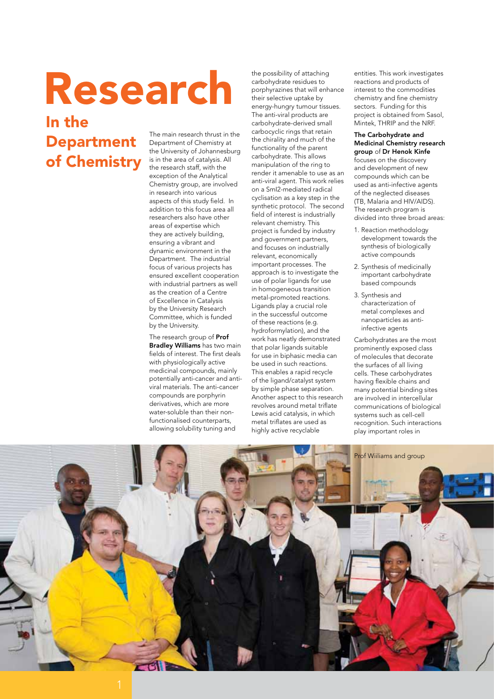## the possibility of attaching<br>carbohydrate residues to<br>their selective uptake by<br>their selective uptake by

#### In the Department of Chemistry

The main research thrust in the Department of Chemistry at the University of Johannesburg is in the area of catalysis. All the research staff, with the exception of the Analytical Chemistry group, are involved in research into various aspects of this study field. In addition to this focus area all researchers also have other areas of expertise which they are actively building, ensuring a vibrant and dynamic environment in the Department. The industrial focus of various projects has ensured excellent cooperation with industrial partners as well as the creation of a Centre of Excellence in Catalysis by the University Research Committee, which is funded by the University.

The research group of Prof Bradley Williams has two main fields of interest. The first deals with physiologically active medicinal compounds, mainly potentially anti-cancer and antiviral materials. The anti-cancer compounds are porphyrin derivatives, which are more water-soluble than their nonfunctionalised counterparts, allowing solubility tuning and

carbohydrate residues to porphyrazines that will enhance their selective uptake by energy-hungry tumour tissues. The anti-viral products are carbohydrate-derived small carbocyclic rings that retain the chirality and much of the functionality of the parent carbohydrate. This allows manipulation of the ring to render it amenable to use as an anti-viral agent. This work relies on a SmI2-mediated radical cyclisation as a key step in the synthetic protocol. The second field of interest is industrially relevant chemistry. This project is funded by industry and government partners, and focuses on industrially relevant, economically important processes. The approach is to investigate the use of polar ligands for use in homogeneous transition metal-promoted reactions. Ligands play a crucial role in the successful outcome of these reactions (e.g. hydroformylation), and the work has neatly demonstrated that polar ligands suitable for use in biphasic media can be used in such reactions. This enables a rapid recycle of the ligand/catalyst system by simple phase separation. Another aspect to this research revolves around metal triflate Lewis acid catalysis, in which metal triflates are used as highly active recyclable

entities. This work investigates reactions and products of interest to the commodities chemistry and fine chemistry sectors. Funding for this project is obtained from Sasol, Mintek, THRIP and the NRF.

#### The Carbohydrate and Medicinal Chemistry research group of Dr Henok Kinfe

focuses on the discovery and development of new compounds which can be used as anti-infective agents of the neglected diseases (TB, Malaria and HIV/AIDS). The research program is divided into three broad areas:

- 1. Reaction methodology development towards the synthesis of biologically active compounds
- 2. Synthesis of medicinally important carbohydrate based compounds
- 3. Synthesis and characterization of metal complexes and nanoparticles as antiinfective agents

Carbohydrates are the most prominently exposed class of molecules that decorate the surfaces of all living cells. These carbohydrates having flexible chains and many potential binding sites are involved in intercellular communications of biological systems such as cell-cell recognition. Such interactions play important roles in

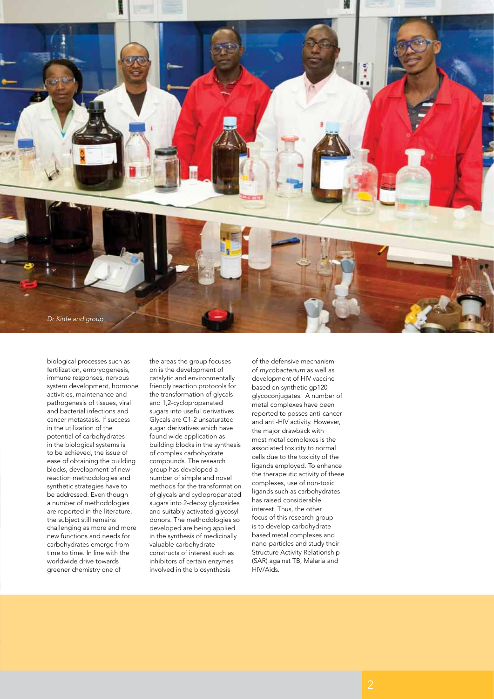

biological processes such as fertilization, embryogenesis, immune responses, nervous system development, hormone activities, maintenance and pathogenesis of tissues, viral and bacterial infections and cancer metastasis. If success in the utilization of the potential of carbohydrates in the biological systems is to be achieved, the issue of ease of obtaining the building blocks, development of new reaction methodologies and synthetic strategies have to be addressed. Even though a number of methodologies are reported in the literature, the subject still remains challenging as more and more new functions and needs for carbohydrates emerge from time to time. In line with the worldwide drive towards greener chemistry one of

the areas the group focuses on is the development of catalytic and environmentally friendly reaction protocols for the transformation of glycals and 1,2-cyclopropanated sugars into useful derivatives. Glycals are C1-2 unsaturated sugar derivatives which have found wide application as building blocks in the synthesis of complex carbohydrate compounds. The research group has developed a number of simple and novel methods for the transformation of glycals and cyclopropanated sugars into 2-deoxy glycosides and suitably activated glycosyl donors. The methodologies so developed are being applied in the synthesis of medicinally valuable carbohydrate constructs of interest such as inhibitors of certain enzymes involved in the biosynthesis

of the defensive mechanism of *mycobacterium* as well as development of HIV vaccine based on synthetic gp120 glycoconjugates. A number of metal complexes have been reported to posses anti-cancer and anti-HIV activity. However, the major drawback with most metal complexes is the associated toxicity to normal cells due to the toxicity of the ligands employed. To enhance the therapeutic activity of these complexes, use of non-toxic ligands such as carbohydrates has raised considerable interest. Thus, the other focus of this research group is to develop carbohydrate based metal complexes and nano-particles and study their Structure Activity Relationship (SAR) against TB, Malaria and HIV/Aids.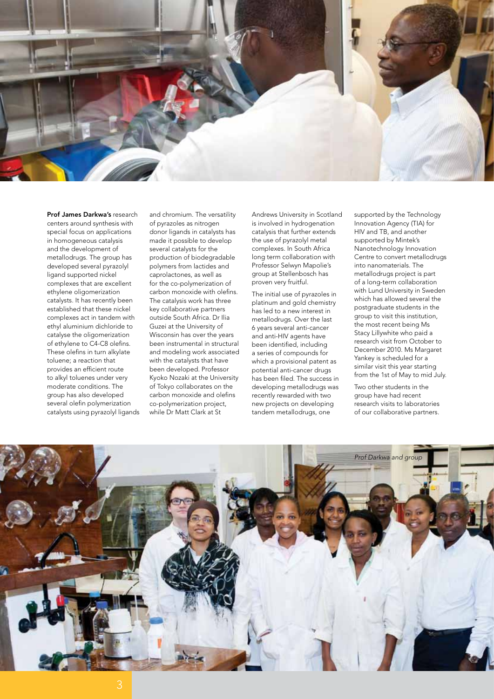

Prof James Darkwa's research centers around synthesis with special focus on applications in homogeneous catalysis and the development of metallodrugs. The group has developed several pyrazolyl ligand supported nickel complexes that are excellent ethylene oligomerization catalysts. It has recently been established that these nickel complexes act in tandem with ethyl aluminium dichloride to catalyse the oligomerization of ethylene to C4-C8 olefins. These olefins in turn alkylate toluene; a reaction that provides an efficient route to alkyl toluenes under very moderate conditions. The group has also developed several olefin polymerization catalysts using pyrazolyl ligands

and chromium. The versatility of pyrazoles as nitrogen donor ligands in catalysts has made it possible to develop several catalysts for the production of biodegradable polymers from lactides and caprolactones, as well as for the co-polymerization of carbon monoxide with olefins. The catalysis work has three key collaborative partners outside South Africa. Dr Ilia Guzei at the University of Wisconsin has over the years been instrumental in structural and modeling work associated with the catalysts that have been developed. Professor Kyoko Nozaki at the University of Tokyo collaborates on the carbon monoxide and olefins co-polymerization project, while Dr Matt Clark at St

Andrews University in Scotland is involved in hydrogenation catalysis that further extends the use of pyrazolyl metal complexes. In South Africa long term collaboration with Professor Selwyn Mapolie's group at Stellenbosch has proven very fruitful.

The initial use of pyrazoles in platinum and gold chemistry has led to a new interest in metallodrugs. Over the last 6 years several anti-cancer and anti-HIV agents have been identified, including a series of compounds for which a provisional patent as potential anti-cancer drugs has been filed. The success in developing metallodrugs was recently rewarded with two new projects on developing tandem metallodrugs, one

supported by the Technology Innovation Agency (TIA) for HIV and TB, and another supported by Mintek's Nanotechnology Innovation Centre to convert metallodrugs into nanomaterials. The metallodrugs project is part of a long-term collaboration with Lund University in Sweden which has allowed several the postgraduate students in the group to visit this institution, the most recent being Ms Stacy Lillywhite who paid a research visit from October to December 2010. Ms Margaret Yankey is scheduled for a similar visit this year starting from the 1st of May to mid July.

Two other students in the group have had recent research visits to laboratories of our collaborative partners.

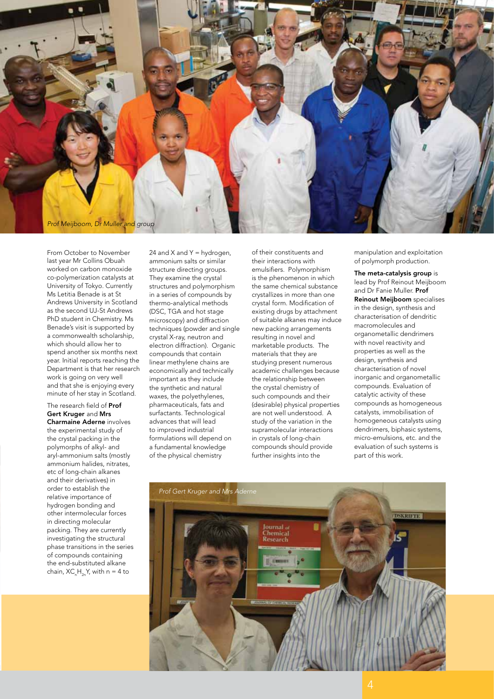

From October to November last year Mr Collins Obuah worked on carbon monoxide co-polymerization catalysts at University of Tokyo. Currently Ms Letitia Benade is at St Andrews University in Scotland as the second UJ-St Andrews PhD student in Chemistry. Ms Benade's visit is supported by a commonwealth scholarship, which should allow her to spend another six months next year. Initial reports reaching the Department is that her research work is going on very well and that she is enjoying every minute of her stay in Scotland.

#### The research field of Prof Gert Kruger and Mrs Charmaine Aderne involves the experimental study of the crystal packing in the polymorphs of alkyl- and aryl-ammonium salts (mostly ammonium halides, nitrates, etc of long-chain alkanes and their derivatives) in order to establish the relative importance of hydrogen bonding and other intermolecular forces in directing molecular packing. They are currently investigating the structural phase transitions in the series of compounds containing the end-substituted alkane chain, XC $_{n}$ H $_{2n}$ Y, with n = 4 to

24 and  $X$  and  $Y =$  hydrogen, ammonium salts or similar structure directing groups. They examine the crystal structures and polymorphism in a series of compounds by thermo-analytical methods (DSC, TGA and hot stage microscopy) and diffraction techniques (powder and single crystal X-ray, neutron and electron diffraction). Organic compounds that contain linear methylene chains are economically and technically important as they include the synthetic and natural waxes, the polyethylenes, pharmaceuticals, fats and surfactants. Technological advances that will lead to improved industrial formulations will depend on a fundamental knowledge of the physical chemistry

of their constituents and their interactions with emulsifiers. Polymorphism is the phenomenon in which the same chemical substance crystallizes in more than one crystal form. Modification of existing drugs by attachment of suitable alkanes may induce new packing arrangements resulting in novel and marketable products. The materials that they are studying present numerous academic challenges because the relationship between the crystal chemistry of such compounds and their (desirable) physical properties are not well understood. A study of the variation in the supramolecular interactions in crystals of long-chain compounds should provide further insights into the

manipulation and exploitation of polymorph production.

The meta-catalysis group is lead by Prof Reinout Meijboom and Dr Fanie Muller. Prof Reinout Meijboom specialises in the design, synthesis and characterisation of dendritic macromolecules and organometallic dendrimers with novel reactivity and properties as well as the design, synthesis and characterisation of novel inorganic and organometallic compounds. Evaluation of catalytic activity of these compounds as homogeneous catalysts, immobilisation of homogeneous catalysts using dendrimers, biphasic systems, micro-emulsions, etc. and the evaluation of such systems is part of this work.

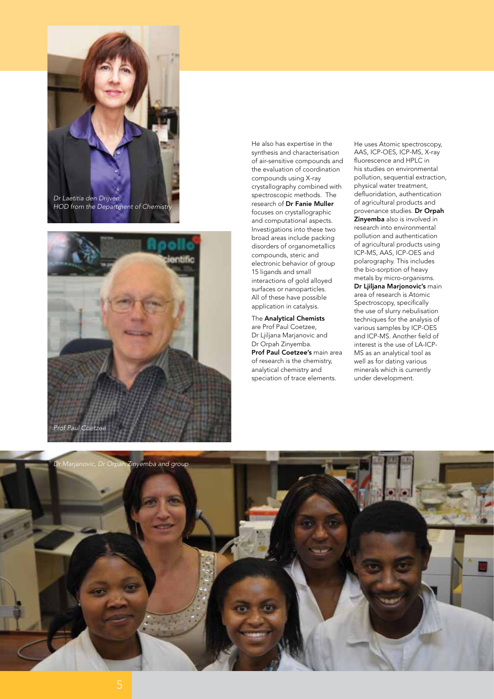



He also has expertise in the synthesis and characterisation of air-sensitive compounds and the evaluation of coordination compounds using X-ray crystallography combined with spectroscopic methods. The research of Dr Fanie Muller focuses on crystallographic and computational aspects. Investigations into these two broad areas include packing disorders of organometallics compounds, steric and electronic behavior of group 15 ligands and small interactions of gold alloyed surfaces or nanoparticles. All of these have possible application in catalysis.

The Analytical Chemists are Prof Paul Coetzee, Dr Ljiljana Marjanovic and Dr Orpah Zinyemba. Prof Paul Coetzee's main area of research is the chemistry, analytical chemistry and speciation of trace elements.

He uses Atomic spectroscopy, AAS, ICP-OES, ICP-MS, X-ray fluorescence and HPLC in his studies on environmental pollution, sequential extraction, physical water treatment, defluoridation, authentication of agricultural products and provenance studies. Dr Orpah Zinyemba also is involved in research into environmental pollution and authentication of agricultural products using ICP-MS, AAS, ICP-OES and polarography. This includes the bio-sorption of heavy metals by micro-organisms.

Dr Ljiljana Marjonovic's main area of research is Atomic Spectroscopy, specifically the use of slurry nebulisation techniques for the analysis of various samples by ICP-OES and ICP-MS. Another field of interest is the use of LA-ICP-MS as an analytical tool as well as for dating various minerals which is currently under development.

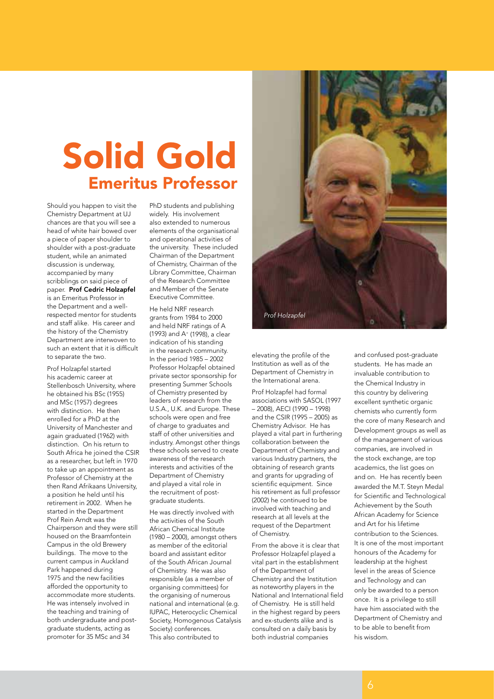## Solid Gold Emeritus Professor

Should you happen to visit the Chemistry Department at UJ chances are that you will see a head of white hair bowed over a piece of paper shoulder to shoulder with a post-graduate student, while an animated discussion is underway, accompanied by many scribblings on said piece of paper. Prof Cedric Holzapfel is an Emeritus Professor in the Department and a wellrespected mentor for students and staff alike. His career and the history of the Chemistry Department are interwoven to such an extent that it is difficult to separate the two.

Prof Holzapfel started his academic career at Stellenbosch University, where he obtained his BSc (1955) and MSc (1957) degrees with distinction. He then enrolled for a PhD at the University of Manchester and again graduated (1962) with distinction. On his return to South Africa he joined the CSIR as a researcher, but left in 1970 to take up an appointment as Professor of Chemistry at the then Rand Afrikaans University, a position he held until his retirement in 2002. When he started in the Department Prof Rein Arndt was the Chairperson and they were still housed on the Braamfontein Campus in the old Brewery buildings. The move to the current campus in Auckland Park happened during 1975 and the new facilities afforded the opportunity to accommodate more students. He was intensely involved in the teaching and training of both undergraduate and postgraduate students, acting as promoter for 35 MSc and 34

PhD students and publishing widely. His involvement also extended to numerous elements of the organisational and operational activities of the university. These included Chairman of the Department of Chemistry, Chairman of the Library Committee, Chairman of the Research Committee and Member of the Senate Executive Committee.

He held NRF research grants from 1984 to 2000 and held NRF ratings of A (1993) and A+ (1998), a clear indication of his standing in the research community. In the period 1985 – 2002 Professor Holzapfel obtained private sector sponsorship for presenting Summer Schools of Chemistry presented by leaders of research from the U.S.A., U.K. and Europe. These schools were open and free of charge to graduates and staff of other universities and industry. Amongst other things these schools served to create awareness of the research interests and activities of the Department of Chemistry and played a vital role in the recruitment of postgraduate students.

He was directly involved with the activities of the South African Chemical Institute (1980 – 2000), amongst others as member of the editorial board and assistant editor of the South African Journal of Chemistry. He was also responsible (as a member of organising committees) for the organising of numerous national and international (e.g. IUPAC, Heterocyclic Chemical Society, Homogenous Catalysis Society) conferences. This also contributed to



elevating the profile of the Institution as well as of the Department of Chemistry in the International arena.

Prof Holzapfel had formal associations with SASOL (1997 – 2008), AECI (1990 – 1998) and the CSIR (1995 – 2005) as Chemistry Advisor. He has played a vital part in furthering collaboration between the Department of Chemistry and various Industry partners, the obtaining of research grants and grants for upgrading of scientific equipment. Since his retirement as full professor (2002) he continued to be involved with teaching and research at all levels at the request of the Department of Chemistry.

From the above it is clear that Professor Holzapfel played a vital part in the establishment of the Department of Chemistry and the Institution as noteworthy players in the National and International field of Chemistry. He is still held in the highest regard by peers and ex-students alike and is consulted on a daily basis by both industrial companies

and confused post-graduate students. He has made an invaluable contribution to the Chemical Industry in this country by delivering excellent synthetic organic chemists who currently form the core of many Research and Development groups as well as of the management of various companies, are involved in the stock exchange, are top academics, the list goes on and on. He has recently been awarded the M.T. Steyn Medal for Scientific and Technological Achievement by the South African Academy for Science and Art for his lifetime contribution to the Sciences. It is one of the most important honours of the Academy for leadership at the highest level in the areas of Science and Technology and can only be awarded to a person once. It is a privilege to still have him associated with the Department of Chemistry and to be able to benefit from his wisdom.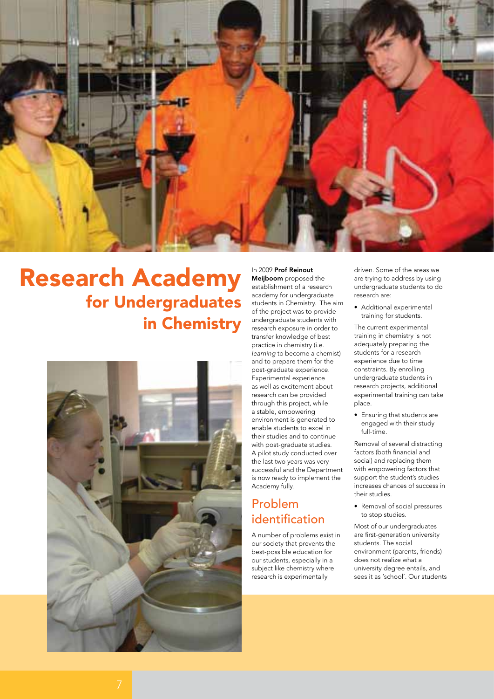

### Research Academy for Undergraduates in Chemistry



In 2009 Prof Reinout Meijboom proposed the establishment of a research academy for undergraduate students in Chemistry. The aim of the project was to provide undergraduate students with research exposure in order to transfer knowledge of best practice in chemistry (i.e. *learning* to become a chemist) and to prepare them for the post-graduate experience. .<br>Experimental experience as well as excitement about research can be provided through this project, while a stable, empowering environment is generated to enable students to excel in their studies and to continue with post-graduate studies. A pilot study conducted over the last two years was very successful and the Department is now ready to implement the Academy fully.

#### Problem identification

A number of problems exist in our society that prevents the best-possible education for our students, especially in a subject like chemistry where research is experimentally

driven. Some of the areas we are trying to address by using undergraduate students to do research are:

• Additional experimental training for students.

The current experimental training in chemistry is not adequately preparing the students for a research experience due to time constraints. By enrolling undergraduate students in research projects, additional experimental training can take place.

• Ensuring that students are engaged with their study full-time.

Removal of several distracting factors (both financial and social) and replacing them with empowering factors that support the student's studies increases chances of success in their studies.

• Removal of social pressures to stop studies.

Most of our undergraduates are first-generation university students. The social environment (parents, friends) does not realize what a university degree entails, and sees it as 'school'. Our students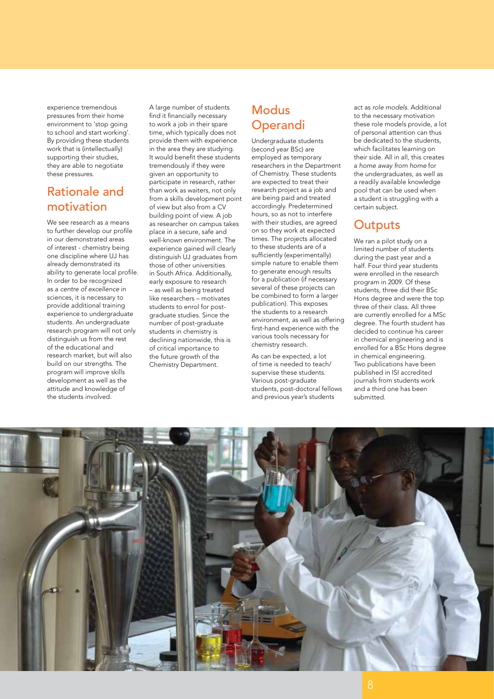experience tremendous pressures from their home environment to 'stop going to school and start working'. By providing these students work that is (intellectually) supporting their studies, they are able to negotiate these pressures.

#### Rationale and motivation

We see research as a means to further develop our profile in our demonstrated areas of interest - chemistry being one discipline where UJ has already demonstrated its ability to generate local profile. In order to be recognized as a *centre of excellence* in sciences, it is necessary to provide additional training experience to undergraduate students. An undergraduate research program will not only distinguish us from the rest of the educational and research market, but will also build on our strengths. The program will improve skills development as well as the attitude and knowledge of the students involved.

A large number of students find it financially necessary to work a job in their spare time, which typically does not provide them with experience in the area they are studying. It would benefit these students tremendously if they were given an opportunity to participate in research, rather than work as waiters, not only from a skills development point of view but also from a CV building point of view. A job as researcher on campus takes place in a secure, safe and well-known environment. The experience gained will clearly distinguish UJ graduates from those of other universities in South Africa. Additionally, early exposure to research – as well as being treated like researchers – motivates students to enrol for postgraduate studies. Since the number of post-graduate students in chemistry is declining nationwide, this is of critical importance to the future growth of the Chemistry Department.

#### Modus **Operandi**

Undergraduate students (second year BSc) are employed as temporary researchers in the Department of Chemistry. These students are expected to treat their research project as a job and are being paid and treated accordingly. Predetermined hours, so as not to interfere with their studies, are agreed on so they work at expected times. The projects allocated to these students are of a sufficiently (experimentally) simple nature to enable them to generate enough results for a publication (if necessary several of these projects can be combined to form a larger publication). This exposes the students to a research environment, as well as offering first-hand experience with the various tools necessary for chemistry research.

As can be expected, a lot of time is needed to teach/ supervise these students. Various post-graduate students, post-doctoral fellows and previous year's students

act as *role models*. Additional to the necessary motivation these role models provide, a lot of personal attention can thus be dedicated to the students, which facilitates learning on their side. All in all, this creates a *home away from home* for the undergraduates, as well as a readily available knowledge pool that can be used when a student is struggling with a certain subject.

#### **Outputs**

We ran a pilot study on a limited number of students during the past year and a half. Four third year students were enrolled in the research program in 2009. Of these students, three did their BSc Hons degree and were the top three of their class. All three are currently enrolled for a MSc degree. The fourth student has decided to continue his career in chemical engineering and is enrolled for a BSc Hons degree in chemical engineering. Two publications have been published in ISI accredited journals from students work and a third one has been submitted.

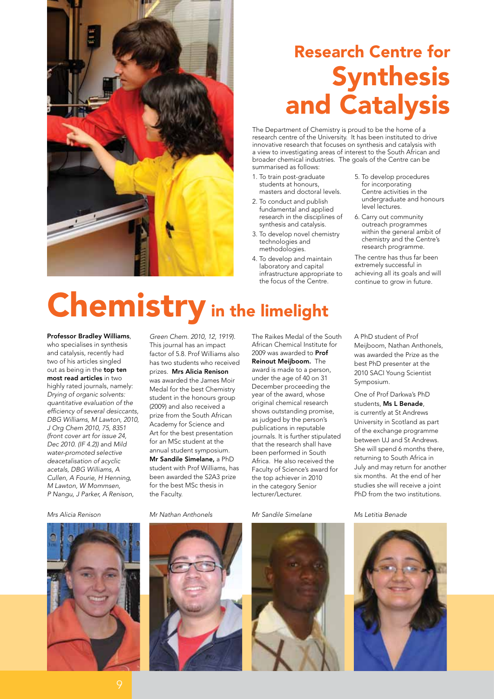

## Research Centre for Synthesis and Catalysis

The Department of Chemistry is proud to be the home of a research centre of the University. It has been instituted to drive innovative research that focuses on synthesis and catalysis with a view to investigating areas of interest to the South African and broader chemical industries. The goals of the Centre can be summarised as follows:

- 1. To train post-graduate students at honours, masters and doctoral levels.
- 2. To conduct and publish fundamental and applied research in the disciplines of synthesis and catalysis.
- 3. To develop novel chemistry technologies and methodologies.
- 4. To develop and maintain laboratory and capital infrastructure appropriate to the focus of the Centre.
- 5. To develop procedures for incorporating Centre activities in the undergraduate and honours level lectures.
- 6. Carry out community outreach programmes within the general ambit of chemistry and the Centre's research programme.

The centre has thus far been extremely successful in achieving all its goals and will continue to grow in future.

## Chemistry in the limelight

Professor Bradley Williams,

who specialises in synthesis and catalysis, recently had two of his articles singled out as being in the top ten most read articles in two highly rated journals, namely: *Drying of organic solvents: quantitative evaluation of the efficiency of several desiccants, DBG Williams, M Lawton, 2010, J Org Chem 2010, 75, 8351 (front cover art for issue 24, Dec 2010. (IF 4.2))* and *Mild water-promoted selective deacetalisation of acyclic acetals, DBG Williams, A Cullen, A Fourie, H Henning, M Lawton, W Mommsen, P Nangu, J Parker, A Renison,* 



*Green Chem. 2010, 12, 1919)*. This journal has an impact factor of 5.8. Prof Williams also has two students who received prizes. Mrs Alicia Renison was awarded the James Moir Medal for the best Chemistry student in the honours group (2009) and also received a prize from the South African Academy for Science and Art for the best presentation for an MSc student at the annual student symposium. Mr Sandile Simelane, a PhD student with Prof Williams, has been awarded the S2A3 prize for the best MSc thesis in the Faculty.

*Mrs Alicia Renison Mr Nathan Anthonels Mr Sandile Simelane Ms Letitia Benade*

The Raikes Medal of the South African Chemical Institute for 2009 was awarded to **Prof** Reinout Meijboom. The award is made to a person, under the age of 40 on 31 December proceeding the year of the award, whose original chemical research shows outstanding promise, as judged by the person's publications in reputable journals. It is further stipulated that the research shall have been performed in South Africa. He also received the Faculty of Science's award for the top achiever in 2010 in the category Senior lecturer/Lecturer.



A PhD student of Prof Meijboom, Nathan Anthonels, was awarded the Prize as the best PhD presenter at the 2010 SACI Young Scientist Symposium.

One of Prof Darkwa's PhD students, Ms L Benade, is currently at St Andrews University in Scotland as part of the exchange programme between UJ and St Andrews. She will spend 6 months there, returning to South Africa in July and may return for another six months. At the end of her studies she will receive a joint PhD from the two institutions.

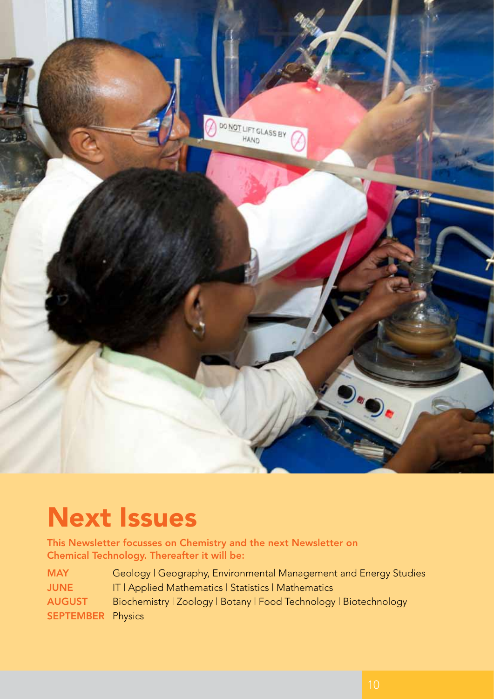

## Next Issues

This Newsletter focusses on Chemistry and the next Newsletter on Chemical Technology. Thereafter it will be:

| <b>MAY</b>               | Geology   Geography, Environmental Management and Energy Studies  |
|--------------------------|-------------------------------------------------------------------|
| <b>JUNE</b>              | IT   Applied Mathematics   Statistics   Mathematics               |
| <b>AUGUST</b>            | Biochemistry   Zoology   Botany   Food Technology   Biotechnology |
| <b>SEPTEMBER Physics</b> |                                                                   |